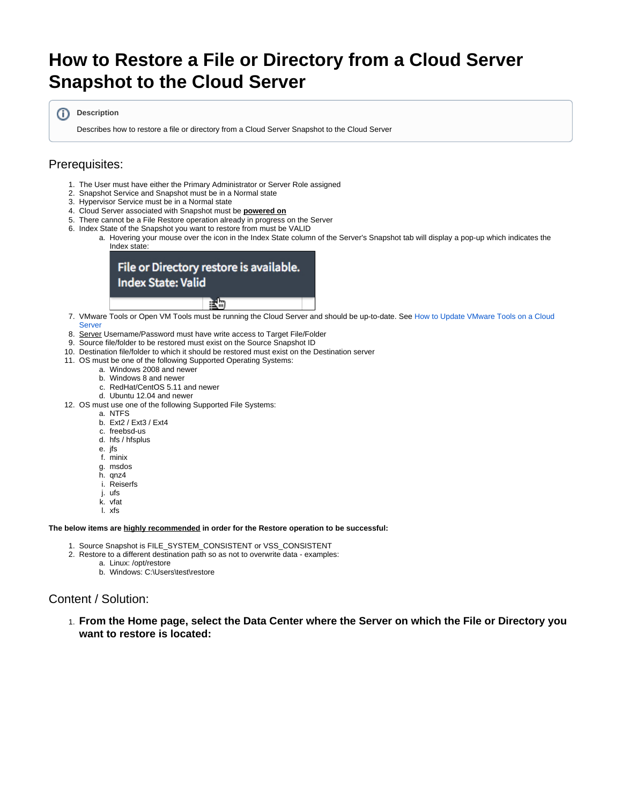# <span id="page-0-0"></span>**How to Restore a File or Directory from a Cloud Server Snapshot to the Cloud Server**

**Description**

Describes how to restore a file or directory from a Cloud Server Snapshot to the Cloud Server

# Prerequisites:

- 1. The User must have either the Primary Administrator or Server Role assigned
- 2. Snapshot Service and Snapshot must be in a Normal state
- 3. Hypervisor Service must be in a Normal state
- 4. Cloud Server associated with Snapshot must be **powered on**
- 5. There cannot be a File Restore operation already in progress on the Server
- 6. Index State of the Snapshot you want to restore from must be VALID
	- a. Hovering your mouse over the icon in the Index State column of the Server's Snapshot tab will display a pop-up which indicates the Index state:



- 7. VMware Tools or Open VM Tools must be running the Cloud Server and should be up-to-date. See [How to Update VMware Tools on a Cloud](https://docs.mcp-services.net/display/CCD/How+to+Update+VMware+Tools+on+a+Cloud+Server)  [Server](https://docs.mcp-services.net/display/CCD/How+to+Update+VMware+Tools+on+a+Cloud+Server)
- 8. Server Username/Password must have write access to Target File/Folder
- 9. Source file/folder to be restored must exist on the Source Snapshot ID
- 10. Destination file/folder to which it should be restored must exist on the Destination server
- 11. OS must be one of the following Supported Operating Systems:
	- a. Windows 2008 and newer
	- b. Windows 8 and newer
	- c. RedHat/CentOS 5.11 and newer
	- d. Ubuntu 12.04 and newer
- 12. OS must use one of the following Supported File Systems:
	- a. NTFS
		- b. Ext2 / Ext3 / Ext4
		- c. freebsd-us
		- d. hfs / hfsplus
		- e. jfs
		- f. minix
		- g. msdos
		- h. qnz4
		- i. Reiserfs
		- j. ufs
		- k. vfat
		- l. xfs

### **The below items are highly recommended in order for the Restore operation to be successful:**

- 1. Source Snapshot is FILE\_SYSTEM\_CONSISTENT or VSS\_CONSISTENT
- 2. Restore to a different destination path so as not to overwrite data examples:
	- a. Linux: /opt/restore
		- b. Windows: C:\Users\test\restore

# Content / Solution:

1. **From the Home page, select the Data Center where the Server on which the File or Directory you want to restore is located:**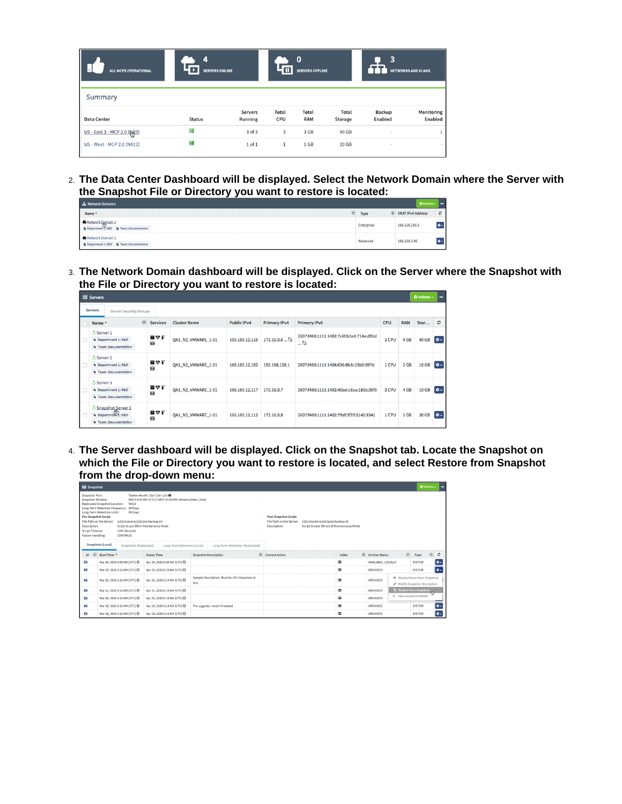| ALL MCPS OPERATIONAL        | 4<br><b>SERVERS ONLINE</b> |                           | $\Omega$<br><b>SERVERS OFFLINE</b> |                     |                  | 3<br><b>NETWORKS AND VLANS</b> |                       |  |
|-----------------------------|----------------------------|---------------------------|------------------------------------|---------------------|------------------|--------------------------------|-----------------------|--|
| Summary                     |                            |                           |                                    |                     |                  |                                |                       |  |
| Data Center                 | <b>Status</b>              | <b>Servers</b><br>Running | Total<br>CPU                       | Total<br><b>RAM</b> | Total<br>Storage | Backup<br>Enabled              | Monitoring<br>Enabled |  |
| US - East 3 - MCP 2.0 (NA9) | ≣                          | $3$ of $3$                | 3                                  | 3 GB                | 90 GB            | $\sim$                         |                       |  |
| US - West - MCP 2.0 (NA12)  | ≘                          | 1 of 1                    | $\mathbf{1}$                       | 1 GB                | 20 GB            | $\sim$                         |                       |  |

2. **The Data Center Dashboard will be displayed. Select the Network Domain where the Server with the Snapshot File or Directory you want to restore is located:**

| ch Network Domains                                           |                 | <b>Q</b> Actions -            | --  |
|--------------------------------------------------------------|-----------------|-------------------------------|-----|
| Name <sup>A</sup>                                            | $\odot$<br>Type | $\circledR$ SNAT IPv4 Address | c   |
| Network Domain 1<br>Team: Documentation<br>Department I: R&D | Enterprise      | 168,128,250.3                 | l٥. |
| Network Domain 2<br>Department 1: R&D   Team: Documentation  | Advanced        | 168.128.3.45                  | ۰ø. |

3. **The Network Domain dashboard will be displayed. Click on the Server where the Snapshot with the File or Directory you want to restore is located:**

|                                                 | Servers                                                            |                 |                     |                    |                     |                                                            |            |                 | <b>☆</b> Actions – | -              |
|-------------------------------------------------|--------------------------------------------------------------------|-----------------|---------------------|--------------------|---------------------|------------------------------------------------------------|------------|-----------------|--------------------|----------------|
| <b>Servers</b><br><b>Server Security Groups</b> |                                                                    |                 |                     |                    |                     |                                                            |            |                 |                    |                |
|                                                 | $\odot$<br>Name <sup>A</sup>                                       | <b>Services</b> | <b>Cluster Name</b> | <b>Public IPv4</b> | <b>Primary IPv4</b> | <b>Primary IPv6</b>                                        | <b>CPU</b> | <b>RAM</b>      | Stor               | $\mathfrak{S}$ |
| C                                               | $\Delta$ Server 1<br>Department 1: R&D<br>Team: Documentation      | 冒受忙<br>তি       | QA1 N2 VMWARE 1-01  | 165.180.12.116     | 172.16.0.6          | 2607:f480:1111:1402:7c8f:b3e8:714a:d91d<br>$$ $\mathbb{S}$ | 2 CPU      | 4 GB            | <b>40 GB</b>       | $\bullet -$    |
|                                                 | A Server 2<br>Department 1: R&D<br>Team: Documentation             | 冒めて<br>乞        | QA1_N2_VMWARE_1-01  | 165.180.12.102     | 192.168.128.1       | 2607:f480:1111:1406:636:8fcb:15b0:997d                     | 1 CPU      | 2 <sub>GB</sub> | 10 GB              | $\Phi -$       |
|                                                 | $\Delta$ Server 3<br>Department 1: R&D<br>Team: Documentation      | 冒受行<br>奁        | OA1 N2 VMWARE 1-01  | 165.180.12.117     | 172.16.0.7          | 2607:f480:1111:1402:45bd:c8aa:181b:30f5                    | 2 CPU      | 4 GB            | 10 GB              | $\bullet$ -    |
|                                                 | <b>Snapshot Server 1</b><br>Department: R&D<br>Team: Documentation | 百梦行<br>匢        | QA1_N2_VMWARE_1-01  | 165.180.12.112     | 172,16,0,8          | 2607:f480:1111:1402:79af:3f70:5142:8341                    | 1 CPU      | 1 GB            | 30 GB              | $\bullet$ -    |

4. **The Server dashboard will be displayed. Click on the Snapshot tab. Locate the Snapshot on which the File or Directory you want to restore is located, and select Restore from Snapshot from the drop-down menu:**

| Snapshot                                                                                                                                             |                                                                                                                                                                                                                                         |                                                                                                  |                                  |                                                                         |                                                                                |          |                                                              |         | <b>O</b> Actions -      |                             |
|------------------------------------------------------------------------------------------------------------------------------------------------------|-----------------------------------------------------------------------------------------------------------------------------------------------------------------------------------------------------------------------------------------|--------------------------------------------------------------------------------------------------|----------------------------------|-------------------------------------------------------------------------|--------------------------------------------------------------------------------|----------|--------------------------------------------------------------|---------|-------------------------|-----------------------------|
| Snapshot Plan:<br>Snapshot Window:<br><b>Pre-Snapshot Script</b><br>File Path on the Server:<br>Description:<br>Script Timeout:<br>Failure Handling: | Replicated Snapshot Location:<br><b>NA12</b><br>Long-Term Retention Frequency: 30 Days<br>Long-Term Retention Limit:<br>90 Days<br>/u01/oracle/script/pre-backup.sh<br>Script to put DB in Maintenance Mode<br>1200 Seconds<br>CONTINUE | Twelve Month: 31d-12w-12m <sup>0</sup><br>DAILY 6:00 AM (UTC)/ DAILY 02:00 AM (America/New York) |                                  | <b>Post-Snapshot Script</b><br>File Path on the Server:<br>Description: | /u01/oracle/script/post-backup.sh<br>Script to take DB out of Maintenance Mode |          |                                                              |         |                         |                             |
|                                                                                                                                                      | Snapshots (Local)<br>Snapshots (Replicated)                                                                                                                                                                                             | Long-Term Retention (Local)                                                                      | Long-Term Retention (Replicated) |                                                                         |                                                                                |          |                                                              |         |                         |                             |
| $\odot$<br>Id                                                                                                                                        | Start Time *                                                                                                                                                                                                                            | <b>Expiry Time</b>                                                                               | <b>Snapshot Description</b>      | $\circledR$ Current Action                                              | Index                                                                          | $\odot$  | <b>Archive Status</b>                                        | $\odot$ | Type                    | $\odot$<br>$\boldsymbol{c}$ |
| 菡                                                                                                                                                    | Mar 24, 2020 6:00 AM (UTC) @                                                                                                                                                                                                            | Apr 24, 2020 6:00 AM (UTC) @                                                                     |                                  |                                                                         | ≡                                                                              |          | AVAILABLE LOCALLY                                            |         | SYSTEM                  | o.                          |
| 室                                                                                                                                                    | Mar 23, 2020 6:10 AM (UTC) @                                                                                                                                                                                                            | Apr 23, 2020 6:10 AM (UTC) @                                                                     |                                  |                                                                         | 崖                                                                              |          | ARCHIVED                                                     |         | SYSTEM                  | $\sim$                      |
| 苬<br>Apr 22, 2020 6:10 AM (UTC) @<br>Mar 22, 2020 6:10 AM (UTC) @                                                                                    |                                                                                                                                                                                                                                         | Sample Description. Must be 255 characters or<br>less                                            |                                  | ≡                                                                       |                                                                                | ARCHIVED | + Deploy Server from Snapshot<br>Modify Snapshot Description |         |                         |                             |
| 室                                                                                                                                                    | Mar 21, 2020 6:10 AM (UTC) @                                                                                                                                                                                                            | Apr 21, 2020 6:10 AM (UTC) @                                                                     |                                  |                                                                         | ≡                                                                              |          | ARCHIVED                                                     |         | 2 Restore from Snapshot | Ġ                           |
| 迄                                                                                                                                                    | Mar 20, 2020 6:10 AM (UTC) C                                                                                                                                                                                                            | Apr 20, 2020 6:10 AM (UTC) @                                                                     |                                  |                                                                         | Е                                                                              |          | ARCHIVED                                                     |         | i View Snapshot Details |                             |
| 笝                                                                                                                                                    | Mar 19, 2020 6:10 AM (UTC) O                                                                                                                                                                                                            | Apr 19, 2020 6:10 AM (UTC) O                                                                     | Pre-upgrade, revert if needed    |                                                                         | 這                                                                              |          | ARCHIVED                                                     |         | <b>SYSTEM</b>           | $\bullet$                   |
| 菡                                                                                                                                                    | Mar 18, 2020 6:10 AM (UTC) O                                                                                                                                                                                                            | Apr 18, 2020 6:10 AM (UTC) C                                                                     |                                  |                                                                         | ≡                                                                              |          | <b>ARCHIVED</b>                                              |         | SYSTEM                  | $\bullet$ -                 |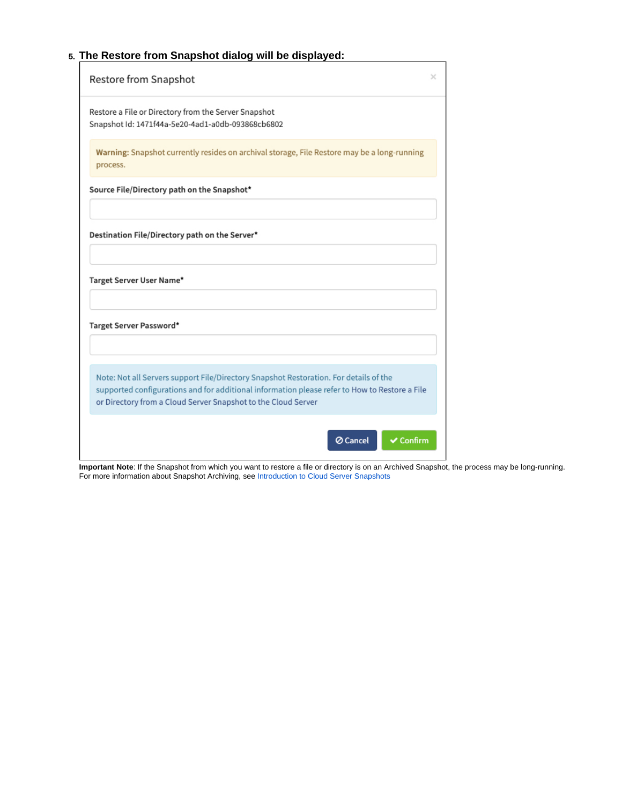# 5. **The Restore from Snapshot dialog will be displayed:**

| Restore from Snapshot                                                                                                                                                                                                                                   | × |
|---------------------------------------------------------------------------------------------------------------------------------------------------------------------------------------------------------------------------------------------------------|---|
| Restore a File or Directory from the Server Snapshot<br>Snapshot Id: 1471f44a-5e20-4ad1-a0db-093868cb6802                                                                                                                                               |   |
| Warning: Snapshot currently resides on archival storage, File Restore may be a long-running<br>process.                                                                                                                                                 |   |
| Source File/Directory path on the Snapshot*                                                                                                                                                                                                             |   |
| Destination File/Directory path on the Server*<br>Target Server User Name*                                                                                                                                                                              |   |
| Target Server Password*                                                                                                                                                                                                                                 |   |
| Note: Not all Servers support File/Directory Snapshot Restoration. For details of the<br>supported configurations and for additional information please refer to How to Restore a File<br>or Directory from a Cloud Server Snapshot to the Cloud Server |   |
| ⊘ Cancel<br>$\checkmark$ Confirm                                                                                                                                                                                                                        |   |

**Important Note**: If the Snapshot from which you want to restore a file or directory is on an Archived Snapshot, the process may be long-running. For more information about Snapshot Archiving, see [Introduction to Cloud Server Snapshots](https://docs.mcp-services.net/display/CCD/Introduction+to+Cloud+Server+Snapshots)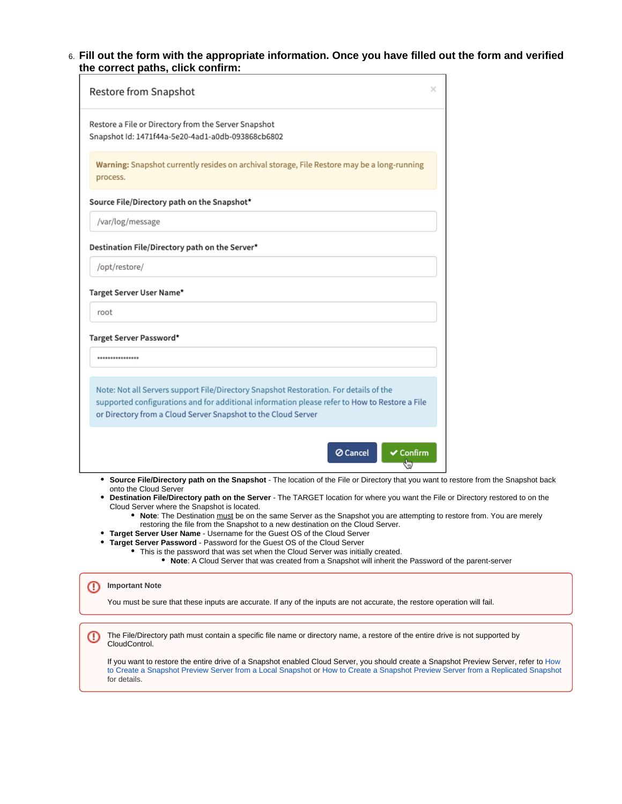6. **Fill out the form with the appropriate information. Once you have filled out the form and verified the correct paths, click confirm:**

| $\times$<br>Restore from Snapshot                                                                                                                                                                                                                                                                                                                 |  |
|---------------------------------------------------------------------------------------------------------------------------------------------------------------------------------------------------------------------------------------------------------------------------------------------------------------------------------------------------|--|
| Restore a File or Directory from the Server Snapshot<br>Snapshot Id: 1471f44a-5e20-4ad1-a0db-093868cb6802                                                                                                                                                                                                                                         |  |
| Warning: Snapshot currently resides on archival storage, File Restore may be a long-running<br>process.                                                                                                                                                                                                                                           |  |
| Source File/Directory path on the Snapshot*                                                                                                                                                                                                                                                                                                       |  |
| /var/log/message                                                                                                                                                                                                                                                                                                                                  |  |
| Destination File/Directory path on the Server*                                                                                                                                                                                                                                                                                                    |  |
| /opt/restore/                                                                                                                                                                                                                                                                                                                                     |  |
| Target Server User Name*                                                                                                                                                                                                                                                                                                                          |  |
| root                                                                                                                                                                                                                                                                                                                                              |  |
| Target Server Password*                                                                                                                                                                                                                                                                                                                           |  |
| ****************                                                                                                                                                                                                                                                                                                                                  |  |
| Note: Not all Servers support File/Directory Snapshot Restoration. For details of the<br>supported configurations and for additional information please refer to How to Restore a File<br>or Directory from a Cloud Server Snapshot to the Cloud Server                                                                                           |  |
| $\vee$ Confirm<br><b>⊘</b> Cancel<br>₩                                                                                                                                                                                                                                                                                                            |  |
| • Source File/Directory path on the Snapshot - The location of the File or Directory that you want to restore from the Snapshot back<br>onto the Cloud Server<br>• Destination File/Directory path on the Server - The TARGET location for where you want the File or Directory restored to on the<br>Cloud Server where the Snapshot is located. |  |

- **Note**: The Destination must be on the same Server as the Snapshot you are attempting to restore from. You are merely restoring the file from the Snapshot to a new destination on the Cloud Server.
- **Target Server User Name** Username for the Guest OS of the Cloud Server
- **Target Server Password** Password for the Guest OS of the Cloud Server
	- This is the password that was set when the Cloud Server was initially created.
		- **Note**: A Cloud Server that was created from a Snapshot will inherit the Password of the parent-server

#### ⊕ **Important Note**

You must be sure that these inputs are accurate. If any of the inputs are not accurate, the restore operation will fail.

The File/Directory path must contain a specific file name or directory name, a restore of the entire drive is not supported by ⋒ CloudControl.

If you want to restore the entire drive of a Snapshot enabled Cloud Server, you should create a Snapshot Preview Server, refer to How [to Create a Snapshot Preview Server from a Local Snapshot](https://docs.mcp-services.net/display/CCD/How+to+Create+a+Snapshot+Preview+Server+from+a+Local+Snapshot) or [How to Create a Snapshot Preview Server from a Replicated Snapshot](https://docs.mcp-services.net/display/CCD/How+to+Create+a+Snapshot+Preview+Server+from+a+Replicated+Snapshot) for details.